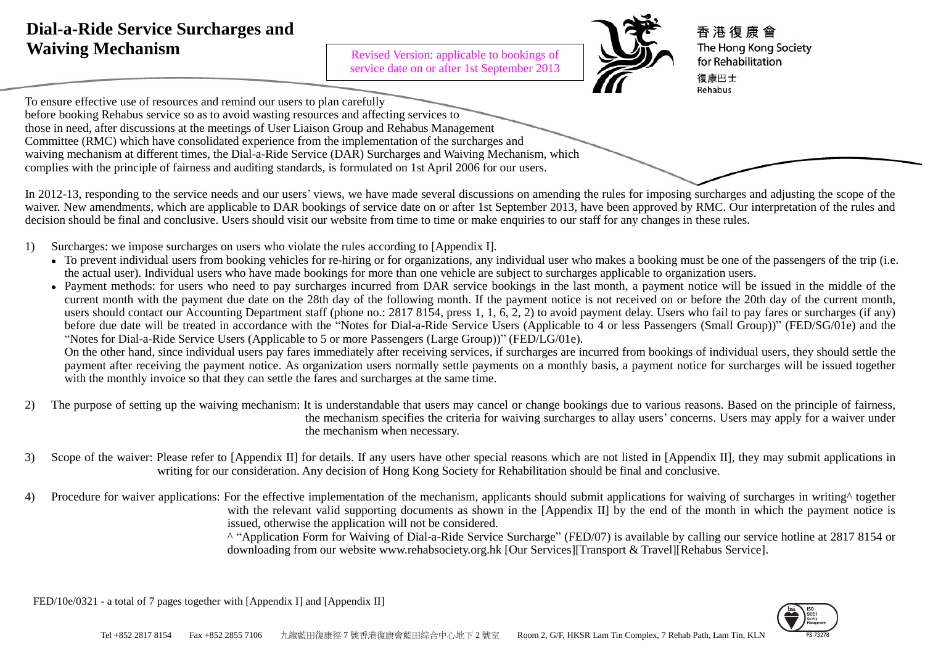# **Dial-a-Ride Service Surcharges and Waiving Mechanism**

Revised Version: applicable to bookings of service date on or after 1st September 2013



香 港 復 康 會 The Hong Kong Society for Rehabilitation 復康巴士 Rehabus

To ensure effective use of resources and remind our users to plan carefully before booking Rehabus service so as to avoid wasting resources and affecting services to those in need, after discussions at the meetings of User Liaison Group and Rehabus Management Committee (RMC) which have consolidated experience from the implementation of the surcharges and waiving mechanism at different times, the Dial-a-Ride Service (DAR) Surcharges and Waiving Mechanism, which complies with the principle of fairness and auditing standards, is formulated on 1st April 2006 for our users.

In 2012-13, responding to the service needs and our users' views, we have made several discussions on amending the rules for imposing surcharges and adjusting the scope of the waiver. New amendments, which are applicable to DAR bookings of service date on or after 1st September 2013, have been approved by RMC. Our interpretation of the rules and decision should be final and conclusive. Users should visit our website from time to time or make enquiries to our staff for any changes in these rules.

- 1) Surcharges: we impose surcharges on users who violate the rules according to [Appendix I].
	- To prevent individual users from booking vehicles for re-hiring or for organizations, any individual user who makes a booking must be one of the passengers of the trip (i.e. the actual user). Individual users who have made bookings for more than one vehicle are subject to surcharges applicable to organization users.
	- Payment methods: for users who need to pay surcharges incurred from DAR service bookings in the last month, a payment notice will be issued in the middle of the current month with the payment due date on the 28th day of the following month. If the payment notice is not received on or before the 20th day of the current month, users should contact our Accounting Department staff (phone no.: 2817 8154, press 1, 1, 6, 2, 2) to avoid payment delay. Users who fail to pay fares or surcharges (if any) before due date will be treated in accordance with the "Notes for Dial-a-Ride Service Users (Applicable to 4 or less Passengers (Small Group))" (FED/SG/01e) and the "Notes for Dial-a-Ride Service Users (Applicable to 5 or more Passengers (Large Group))" (FED/LG/01e).

On the other hand, since individual users pay fares immediately after receiving services, if surcharges are incurred from bookings of individual users, they should settle the payment after receiving the payment notice. As organization users normally settle payments on a monthly basis, a payment notice for surcharges will be issued together with the monthly invoice so that they can settle the fares and surcharges at the same time.

- 2) The purpose of setting up the waiving mechanism: It is understandable that users may cancel or change bookings due to various reasons. Based on the principle of fairness, the mechanism specifies the criteria for waiving surcharges to allay users' concerns. Users may apply for a waiver under the mechanism when necessary.
- 3) Scope of the waiver: Please refer to [Appendix II] for details. If any users have other special reasons which are not listed in [Appendix II], they may submit applications in writing for our consideration. Any decision of Hong Kong Society for Rehabilitation should be final and conclusive.
- 4) Procedure for waiver applications: For the effective implementation of the mechanism, applicants should submit applications for waiving of surcharges in writing^ together with the relevant valid supporting documents as shown in the [Appendix II] by the end of the month in which the payment notice is issued, otherwise the application will not be considered.

^ "Application Form for Waiving of Dial-a-Ride Service Surcharge" (FED/07) is available by calling our service hotline at 2817 8154 or downloading from our website www.rehabsociety.org.hk [Our Services][Transport & Travel][Rehabus Service].

FED/10e/0321 - a total of 7 pages together with [Appendix I] and [Appendix II]

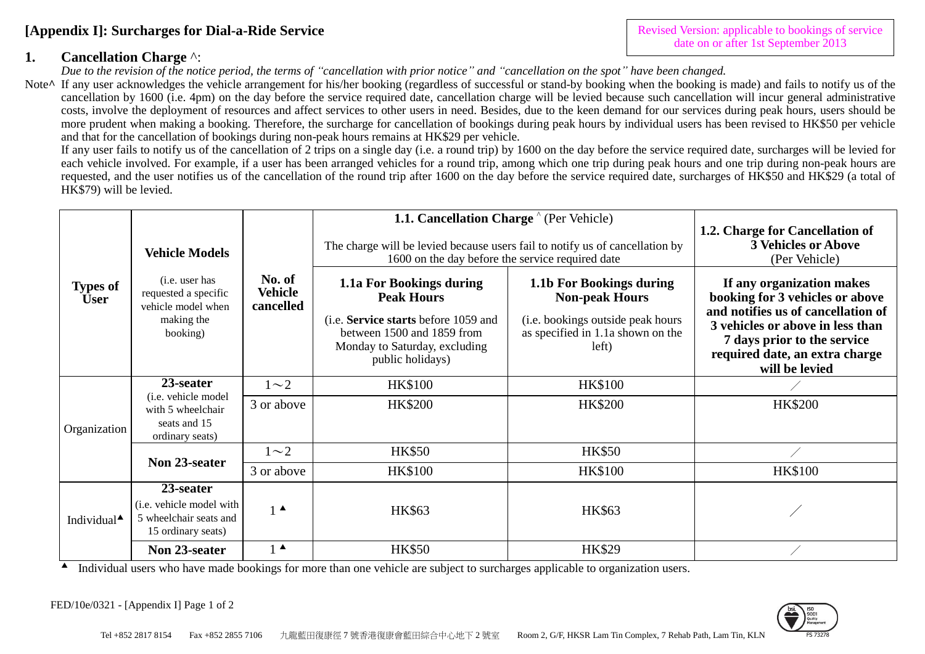## **[Appendix I]: Surcharges for Dial-a-Ride Service**

### **1. Cancellation Charge** ^:

*Due to the revision of the notice period, the terms of "cancellation with prior notice" and "cancellation on the spot" have been changed.*

Note<sup> $\wedge$ </sup> If any user acknowledges the vehicle arrangement for his/her booking (regardless of successful or stand-by booking when the booking is made) and fails to notify us of the cancellation by 1600 (i.e. 4pm) on the day before the service required date, cancellation charge will be levied because such cancellation will incur general administrative costs, involve the deployment of resources and affect services to other users in need. Besides, due to the keen demand for our services during peak hours, users should be more prudent when making a booking. Therefore, the surcharge for cancellation of bookings during peak hours by individual users has been revised to HK\$50 per vehicle and that for the cancellation of bookings during non-peak hours remains at HK\$29 per vehicle.

If any user fails to notify us of the cancellation of 2 trips on a single day (i.e. a round trip) by 1600 on the day before the service required date, surcharges will be levied for each vehicle involved. For example, if a user has been arranged vehicles for a round trip, among which one trip during peak hours and one trip during non-peak hours are requested, and the user notifies us of the cancellation of the round trip after 1600 on the day before the service required date, surcharges of HK\$50 and HK\$29 (a total of HK\$79) will be levied.

|                                | <b>Vehicle Models</b>                                                                          |                                       | 1.1. Cancellation Charge <sup>^</sup> (Per Vehicle)<br>The charge will be levied because users fail to notify us of cancellation by<br>1600 on the day before the service required date | 1.2. Charge for Cancellation of<br><b>3 Vehicles or Above</b><br>(Per Vehicle)                                                       |                                                                                                                                                                                                                           |
|--------------------------------|------------------------------------------------------------------------------------------------|---------------------------------------|-----------------------------------------------------------------------------------------------------------------------------------------------------------------------------------------|--------------------------------------------------------------------------------------------------------------------------------------|---------------------------------------------------------------------------------------------------------------------------------------------------------------------------------------------------------------------------|
| <b>Types of</b><br><b>User</b> | ( <i>i.e.</i> user has<br>requested a specific<br>vehicle model when<br>making the<br>booking) | No. of<br><b>Vehicle</b><br>cancelled | 1.1a For Bookings during<br><b>Peak Hours</b><br>(i.e. Service starts before 1059 and<br>between 1500 and 1859 from<br>Monday to Saturday, excluding<br>public holidays)                | 1.1b For Bookings during<br><b>Non-peak Hours</b><br>(i.e. bookings outside peak hours<br>as specified in 1.1a shown on the<br>left) | If any organization makes<br>booking for 3 vehicles or above<br>and notifies us of cancellation of<br>3 vehicles or above in less than<br>7 days prior to the service<br>required date, an extra charge<br>will be levied |
| Organization                   | 23-seater                                                                                      | $1\sim2$                              | <b>HK\$100</b>                                                                                                                                                                          | <b>HK\$100</b>                                                                                                                       |                                                                                                                                                                                                                           |
|                                | (i.e. vehicle model<br>with 5 wheelchair<br>seats and 15<br>ordinary seats)                    | 3 or above                            | <b>HK\$200</b>                                                                                                                                                                          | <b>HK\$200</b>                                                                                                                       | <b>HK\$200</b>                                                                                                                                                                                                            |
|                                | Non 23-seater                                                                                  | $1\sim2$                              | <b>HK\$50</b>                                                                                                                                                                           | <b>HK\$50</b>                                                                                                                        |                                                                                                                                                                                                                           |
|                                |                                                                                                | 3 or above                            | <b>HK\$100</b>                                                                                                                                                                          | <b>HK\$100</b>                                                                                                                       | <b>HK\$100</b>                                                                                                                                                                                                            |
| Individual <sup>4</sup>        | 23-seater<br>(i.e. vehicle model with<br>5 wheelchair seats and<br>15 ordinary seats)          | $1^{\blacktriangle}$                  | <b>HK\$63</b>                                                                                                                                                                           | <b>HK\$63</b>                                                                                                                        |                                                                                                                                                                                                                           |
|                                | Non 23-seater                                                                                  | $1^{\blacktriangle}$                  | <b>HK\$50</b>                                                                                                                                                                           | <b>HK\$29</b>                                                                                                                        |                                                                                                                                                                                                                           |

Individual users who have made bookings for more than one vehicle are subject to surcharges applicable to organization users.

FED/10e/0321 - [Appendix I] Page 1 of 2



Revised Version: applicable to bookings of service date on or after 1st September 2013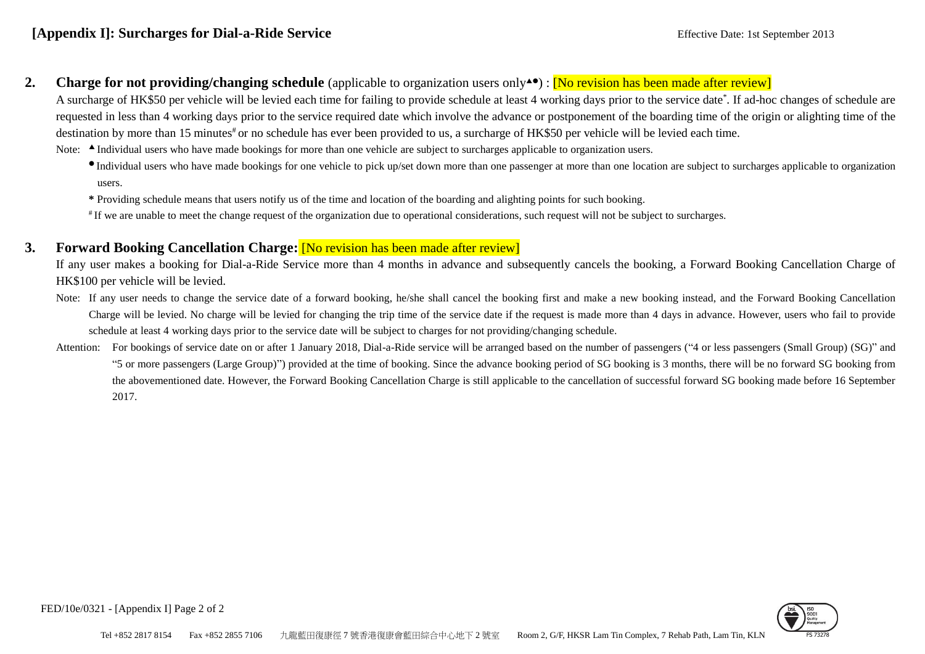#### **2.** Charge for not providing/changing schedule (applicable to organization users only<sup>40</sup>): [No revision has been made after review]

A surcharge of HK\$50 per vehicle will be levied each time for failing to provide schedule at least 4 working days prior to the service date\*. If ad-hoc changes of schedule are requested in less than 4 working days prior to the service required date which involve the advance or postponement of the boarding time of the origin or alighting time of the destination by more than 15 minutes<sup>#</sup> or no schedule has ever been provided to us, a surcharge of HK\$50 per vehicle will be levied each time.

Note: A Individual users who have made bookings for more than one vehicle are subject to surcharges applicable to organization users.

- Individual users who have made bookings for one vehicle to pick up/set down more than one passenger at more than one location are subject to surcharges applicable to organization users.
- **\*** Providing schedule means that users notify us of the time and location of the boarding and alighting points for such booking.
- # If we are unable to meet the change request of the organization due to operational considerations, such request will not be subject to surcharges.

### **3. Forward Booking Cancellation Charge:** [No revision has been made after review]

If any user makes a booking for Dial-a-Ride Service more than 4 months in advance and subsequently cancels the booking, a Forward Booking Cancellation Charge of HK\$100 per vehicle will be levied.

- Note: If any user needs to change the service date of a forward booking, he/she shall cancel the booking first and make a new booking instead, and the Forward Booking Cancellation Charge will be levied. No charge will be levied for changing the trip time of the service date if the request is made more than 4 days in advance. However, users who fail to provide schedule at least 4 working days prior to the service date will be subject to charges for not providing/changing schedule.
- Attention: For bookings of service date on or after 1 January 2018, Dial-a-Ride service will be arranged based on the number of passengers ("4 or less passengers (Small Group) (SG)" and "5 or more passengers (Large Group)") provided at the time of booking. Since the advance booking period of SG booking is 3 months, there will be no forward SG booking from the abovementioned date. However, the Forward Booking Cancellation Charge is still applicable to the cancellation of successful forward SG booking made before 16 September 2017.



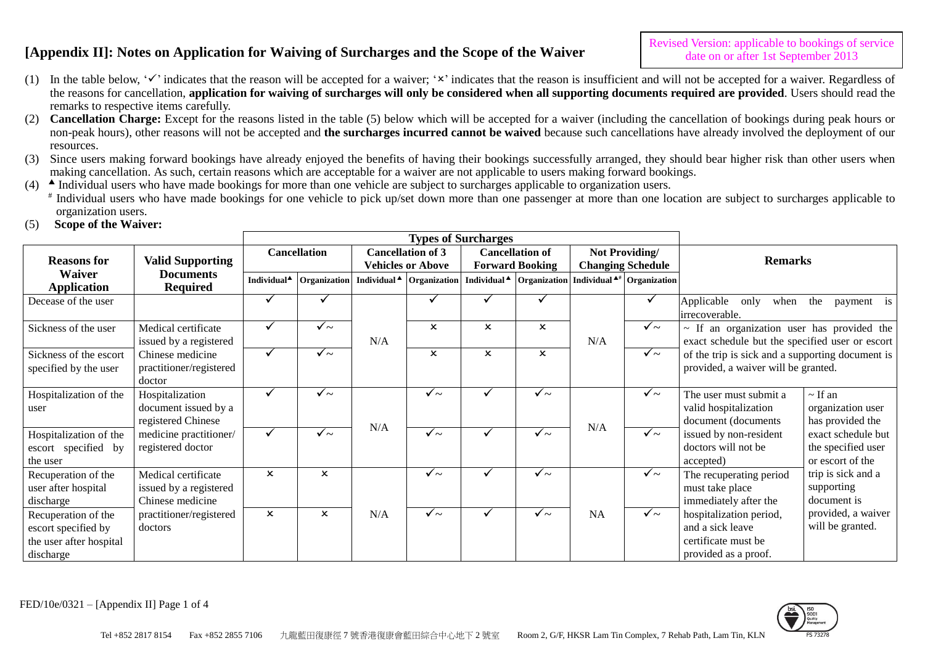- (1) In the table below,  $\checkmark$  indicates that the reason will be accepted for a waiver;  $\checkmark$  indicates that the reason is insufficient and will not be accepted for a waiver. Regardless of the reasons for cancellation, **application for waiving of surcharges will only be considered when all supporting documents required are provided**. Users should read the remarks to respective items carefully.
- (2) **Cancellation Charge:** Except for the reasons listed in the table (5) below which will be accepted for a waiver (including the cancellation of bookings during peak hours or non-peak hours), other reasons will not be accepted and **the surcharges incurred cannot be waived** because such cancellations have already involved the deployment of our resources.
- (3) Since users making forward bookings have already enjoyed the benefits of having their bookings successfully arranged, they should bear higher risk than other users when making cancellation. As such, certain reasons which are acceptable for a waiver are not applicable to users making forward bookings.
- (4) A Individual users who have made bookings for more than one vehicle are subject to surcharges applicable to organization users.
	- # Individual users who have made bookings for one vehicle to pick up/set down more than one passenger at more than one location are subject to surcharges applicable to organization users.
- (5) **Scope of the Waiver:**

| <b>Reasons for</b>                                                                 | <b>Valid Supporting</b>                                           |                           | <b>Cancellation</b>       |     | <b>Cancellation of 3</b><br><b>Vehicles or Above</b> |                           | <b>Cancellation of</b><br><b>Forward Booking</b> | Not Providing/<br><b>Changing Schedule</b> |                                                                                           | <b>Remarks</b>                                                                                     |                                                              |
|------------------------------------------------------------------------------------|-------------------------------------------------------------------|---------------------------|---------------------------|-----|------------------------------------------------------|---------------------------|--------------------------------------------------|--------------------------------------------|-------------------------------------------------------------------------------------------|----------------------------------------------------------------------------------------------------|--------------------------------------------------------------|
| <b>Waiver</b><br><b>Application</b>                                                | <b>Documents</b><br><b>Required</b>                               | Individual <sup>4</sup>   |                           |     | Organization   Individual▲ Organization              |                           |                                                  |                                            | Individual $\blacktriangle$   Organization   Individual $\blacktriangle$ #   Organization |                                                                                                    |                                                              |
| Decease of the user                                                                |                                                                   |                           |                           |     |                                                      |                           |                                                  |                                            |                                                                                           | Applicable<br>only<br>when<br>irrecoverable.                                                       | the<br>payment is                                            |
| Sickness of the user                                                               | Medical certificate<br>issued by a registered                     |                           | $\checkmark$ ~            | N/A | $\boldsymbol{\mathsf{x}}$                            | $\boldsymbol{\mathsf{x}}$ | $\boldsymbol{\mathsf{x}}$                        | N/A                                        | $\checkmark$ ~                                                                            | $\sim$ If an organization user has provided the<br>exact schedule but the specified user or escort |                                                              |
| Sickness of the escort<br>specified by the user                                    | Chinese medicine<br>practitioner/registered<br>doctor             |                           | $\checkmark$ ~            |     | $\boldsymbol{\mathsf{x}}$                            | $\mathsf{x}$              | $\boldsymbol{\mathsf{x}}$                        |                                            | $\checkmark$ ~                                                                            | of the trip is sick and a supporting document is<br>provided, a waiver will be granted.            |                                                              |
| Hospitalization of the<br>user                                                     | Hospitalization<br>document issued by a<br>registered Chinese     | $\checkmark$              | $\checkmark$ ~            |     | $\checkmark$ ~                                       | ✓                         | $\checkmark$ ~                                   |                                            | $\checkmark$ ~                                                                            | The user must submit a<br>valid hospitalization<br>document (documents                             | $\sim$ If an<br>organization user<br>has provided the        |
| Hospitalization of the<br>escort specified by<br>the user                          | medicine practitioner/<br>registered doctor                       |                           | $\checkmark$ ~            | N/A | $\checkmark$ ~                                       |                           | $\checkmark$ ~                                   | N/A                                        | $\checkmark$ ~                                                                            | issued by non-resident<br>doctors will not be<br>accepted)                                         | exact schedule but<br>the specified user<br>or escort of the |
| Recuperation of the<br>user after hospital<br>discharge                            | Medical certificate<br>issued by a registered<br>Chinese medicine | $\boldsymbol{\mathsf{x}}$ | $\boldsymbol{\mathsf{x}}$ |     | ✓∼                                                   | ✓                         | $\checkmark$ ~                                   |                                            | $\checkmark$ ~                                                                            | The recuperating period<br>must take place<br>immediately after the                                | trip is sick and a<br>supporting<br>document is              |
| Recuperation of the<br>escort specified by<br>the user after hospital<br>discharge | practitioner/registered<br>doctors                                | $\boldsymbol{\mathsf{x}}$ | $\boldsymbol{\mathsf{x}}$ | N/A | $\checkmark$ ~                                       | ✓                         | $\checkmark$ ~                                   | <b>NA</b>                                  | $\checkmark$ ~                                                                            | hospitalization period,<br>and a sick leave<br>certificate must be<br>provided as a proof.         | provided, a waiver<br>will be granted.                       |



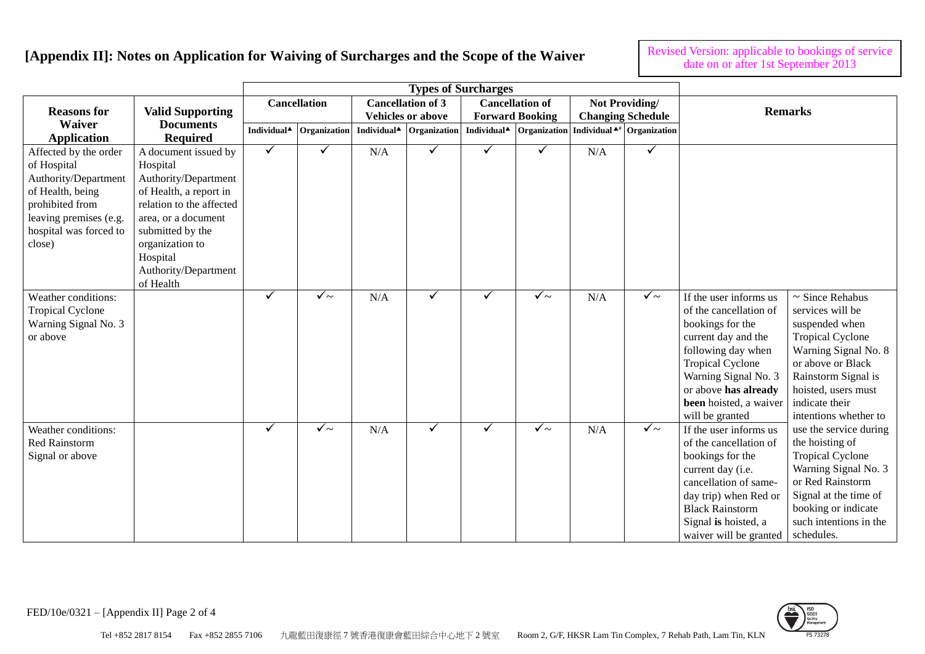Revised Version: applicable to bookings of service date on or after 1st September 2013

| <b>Reasons for</b>                                                                                                                                                | <b>Valid Supporting</b>                                                                                                                                                                                                       |                         | <b>Cancellation</b> |                                                              | <b>Cancellation of 3</b><br><b>Vehicles or above</b> |   | <b>Cancellation of</b><br><b>Forward Booking</b> |     | Not Providing/<br><b>Changing Schedule</b> |                                                                                                                                                                                                                                           | <b>Remarks</b>                                                                                                                                                                                                              |
|-------------------------------------------------------------------------------------------------------------------------------------------------------------------|-------------------------------------------------------------------------------------------------------------------------------------------------------------------------------------------------------------------------------|-------------------------|---------------------|--------------------------------------------------------------|------------------------------------------------------|---|--------------------------------------------------|-----|--------------------------------------------|-------------------------------------------------------------------------------------------------------------------------------------------------------------------------------------------------------------------------------------------|-----------------------------------------------------------------------------------------------------------------------------------------------------------------------------------------------------------------------------|
| <b>Waiver</b><br><b>Application</b>                                                                                                                               | <b>Documents</b><br><b>Required</b>                                                                                                                                                                                           | Individual <sup>4</sup> | Organization        | Individual <sup><math>\triangle</math></sup><br>Organization |                                                      |   | Individual <sup>4</sup> Organization             |     | Individual $\mathbf{A}^*$ Organization     |                                                                                                                                                                                                                                           |                                                                                                                                                                                                                             |
| Affected by the order<br>of Hospital<br>Authority/Department<br>of Health, being<br>prohibited from<br>leaving premises (e.g.<br>hospital was forced to<br>close) | A document issued by<br>Hospital<br>Authority/Department<br>of Health, a report in<br>relation to the affected<br>area, or a document<br>submitted by the<br>organization to<br>Hospital<br>Authority/Department<br>of Health | ✓                       | ✓                   | N/A                                                          | ✓                                                    | ✓ | ✓                                                | N/A | ✓                                          |                                                                                                                                                                                                                                           |                                                                                                                                                                                                                             |
| Weather conditions:<br><b>Tropical Cyclone</b><br>Warning Signal No. 3<br>or above                                                                                |                                                                                                                                                                                                                               | ✓                       | $\sqrt{2}$          | N/A                                                          | ✓                                                    | ✓ | $\sqrt{2}$                                       | N/A | $\checkmark$ ~                             | If the user informs us<br>of the cancellation of<br>bookings for the<br>current day and the<br>following day when<br><b>Tropical Cyclone</b><br>Warning Signal No. 3<br>or above has already<br>been hoisted, a waiver<br>will be granted | $\sim$ Since Rehabus<br>services will be<br>suspended when<br><b>Tropical Cyclone</b><br>Warning Signal No. 8<br>or above or Black<br>Rainstorm Signal is<br>hoisted, users must<br>indicate their<br>intentions whether to |
| Weather conditions:<br>Red Rainstorm<br>Signal or above                                                                                                           |                                                                                                                                                                                                                               | $\checkmark$            | $\checkmark$ ~      | N/A                                                          | ✓                                                    | ✓ | $\checkmark$ ~                                   | N/A | $\checkmark$ ~                             | If the user informs us<br>of the cancellation of<br>bookings for the<br>current day (i.e.<br>cancellation of same-<br>day trip) when Red or<br><b>Black Rainstorm</b><br>Signal is hoisted, a<br>waiver will be granted                   | use the service during<br>the hoisting of<br><b>Tropical Cyclone</b><br>Warning Signal No. 3<br>or Red Rainstorm<br>Signal at the time of<br>booking or indicate<br>such intentions in the<br>schedules.                    |

FED/10e/0321 – [Appendix II] Page 2 of 4

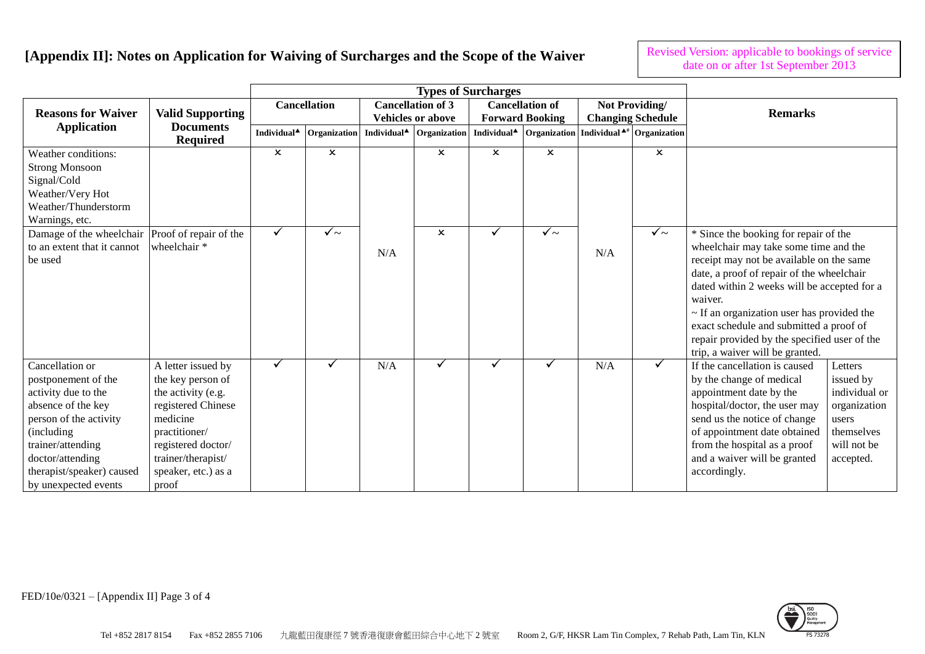Revised Version: applicable to bookings of service date on or after 1st September 2013

| <b>Reasons for Waiver</b>                                                                                                                                                                                                 | <b>Valid Supporting</b><br><b>Documents</b><br><b>Required</b>                                                                                                                               |                                           | <b>Cancellation</b> | <b>Cancellation of 3</b><br><b>Vehicles or above</b> |                                                        |                                           | <b>Cancellation of</b><br><b>Forward Booking</b> | Not Providing/<br><b>Changing Schedule</b>         |                                                  | <b>Remarks</b>                                                                                                                                                                                                                                                                                                                                                                                                     |                                                                                                          |
|---------------------------------------------------------------------------------------------------------------------------------------------------------------------------------------------------------------------------|----------------------------------------------------------------------------------------------------------------------------------------------------------------------------------------------|-------------------------------------------|---------------------|------------------------------------------------------|--------------------------------------------------------|-------------------------------------------|--------------------------------------------------|----------------------------------------------------|--------------------------------------------------|--------------------------------------------------------------------------------------------------------------------------------------------------------------------------------------------------------------------------------------------------------------------------------------------------------------------------------------------------------------------------------------------------------------------|----------------------------------------------------------------------------------------------------------|
| <b>Application</b>                                                                                                                                                                                                        |                                                                                                                                                                                              | Individual <sup>4</sup>                   | Organization        | Individual <sup>4</sup>                              | Organization                                           | Individual <sup>4</sup>                   |                                                  | Organization Individual <sup>4#</sup> Organization |                                                  |                                                                                                                                                                                                                                                                                                                                                                                                                    |                                                                                                          |
| Weather conditions:<br><b>Strong Monsoon</b><br>Signal/Cold<br>Weather/Very Hot<br>Weather/Thunderstorm<br>Warnings, etc.<br>Damage of the wheelchair Proof of repair of the                                              |                                                                                                                                                                                              | $\boldsymbol{\mathsf{x}}$<br>$\checkmark$ | ×<br>$\checkmark$ ~ |                                                      | $\boldsymbol{\mathsf{x}}$<br>$\boldsymbol{\mathsf{x}}$ | $\boldsymbol{\mathsf{x}}$<br>$\checkmark$ | $\boldsymbol{\mathsf{x}}$<br>$\checkmark$ ~      |                                                    | $\boldsymbol{\mathsf{x}}$<br>$\checkmark$ $\sim$ |                                                                                                                                                                                                                                                                                                                                                                                                                    |                                                                                                          |
| to an extent that it cannot<br>be used                                                                                                                                                                                    | wheelchair *                                                                                                                                                                                 |                                           |                     | N/A                                                  |                                                        |                                           |                                                  | N/A                                                |                                                  | * Since the booking for repair of the<br>wheelchair may take some time and the<br>receipt may not be available on the same<br>date, a proof of repair of the wheelchair<br>dated within 2 weeks will be accepted for a<br>waiver.<br>$\sim$ If an organization user has provided the<br>exact schedule and submitted a proof of<br>repair provided by the specified user of the<br>trip, a waiver will be granted. |                                                                                                          |
| Cancellation or<br>postponement of the<br>activity due to the<br>absence of the key<br>person of the activity<br>(including<br>trainer/attending<br>doctor/attending<br>therapist/speaker) caused<br>by unexpected events | A letter issued by<br>the key person of<br>the activity (e.g.<br>registered Chinese<br>medicine<br>practitioner/<br>registered doctor/<br>trainer/therapist/<br>speaker, etc.) as a<br>proof | ✓                                         |                     | N/A                                                  | ✓                                                      |                                           |                                                  | N/A                                                | ✓                                                | If the cancellation is caused<br>by the change of medical<br>appointment date by the<br>hospital/doctor, the user may<br>send us the notice of change<br>of appointment date obtained<br>from the hospital as a proof<br>and a waiver will be granted<br>accordingly.                                                                                                                                              | Letters<br>issued by<br>individual or<br>organization<br>users<br>themselves<br>will not be<br>accepted. |



FED/10e/0321 – [Appendix II] Page 3 of 4